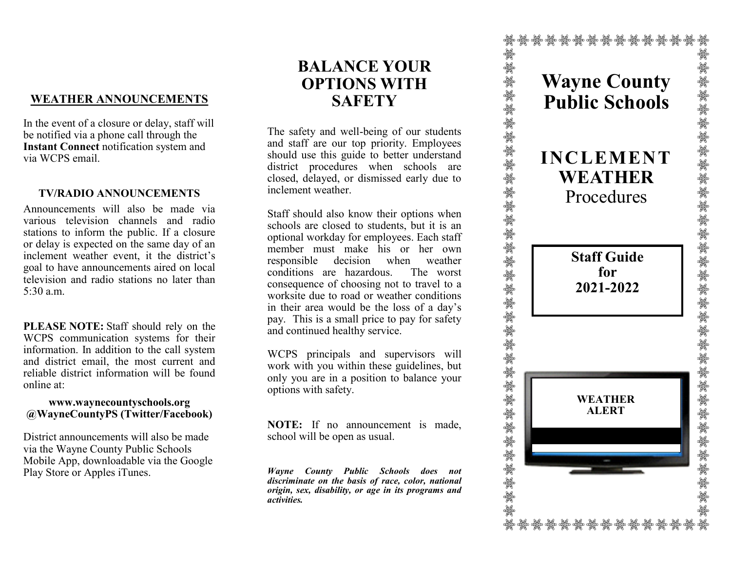# **WEATHER ANNOUNCEMENTS**

In the event of a closure or delay, staff will be notified via a phone call through the **Instant Connect** notification system and via WCPS email.

## **TV/RADIO ANNOUNCEMENTS**

Announcements will also be made via various television channels and radio stations to inform the public. If a closure or delay is expected on the same day of an inclement weather event, it the district's goal to have announcements aired on local television and radio stations no later than 5:30 a.m.

**PLEASE NOTE:** Staff should rely on the WCPS communication systems for their information. In addition to the call system and district email, the most current and reliable district information will be found online at:

#### **www.waynecountyschools.org @WayneCountyPS (Twitter/Facebook)**

District announcements will also be made via the Wayne County Public Schools Mobile App, downloadable via the Google Play Store or Apples iTunes.

# **BALANCE YOUR OPTIONS WITH SAFETY**

The safety and well-being of our students and staff are our top priority. Employees should use this guide to better understand district procedures when schools are closed, delayed, or dismissed early due to inclement weather.

Staff should also know their options when schools are closed to students, but it is an optional workday for employees. Each staff member must make his or her own responsible decision when weather conditions are hazardous. The worst consequence of choosing not to travel to a worksite due to road or weather conditions in their area would be the loss of a day's pay. This is a small price to pay for safety and continued healthy service.

WCPS principals and supervisors will work with you within these guidelines, but only you are in a position to balance your options with safety.

**NOTE:** If no announcement is made, school will be open as usual.

*Wayne County Public Schools does not discriminate on the basis of race, color, national origin, sex, disability, or age in its programs and activities.*